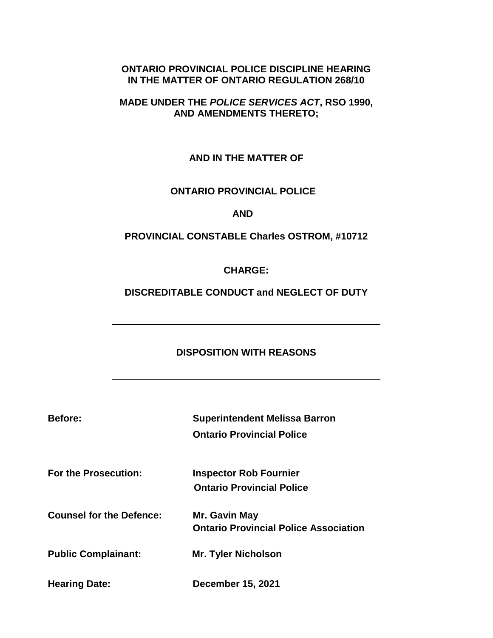#### **ONTARIO PROVINCIAL POLICE DISCIPLINE HEARING IN THE MATTER OF ONTARIO REGULATION 268/10**

### **MADE UNDER THE** *POLICE SERVICES ACT***, RSO 1990, AND AMENDMENTS THERETO;**

### **AND IN THE MATTER OF**

### **ONTARIO PROVINCIAL POLICE**

 **AND**

### **PROVINCIAL CONSTABLE Charles OSTROM, #10712**

**CHARGE:** 

**DISCREDITABLE CONDUCT and NEGLECT OF DUTY**

### **DISPOSITION WITH REASONS**

| <b>Before:</b> | <b>Superintendent Melissa Barron</b> |
|----------------|--------------------------------------|
|                | <b>Ontario Provincial Police</b>     |

**For the Prosecution: Inspector Rob Fournier Ontario Provincial Police**

**Counsel for the Defence: Mr. Gavin May Ontario Provincial Police Association**

**Public Complainant: Mr. Tyler Nicholson**

**Hearing Date: December 15, 2021**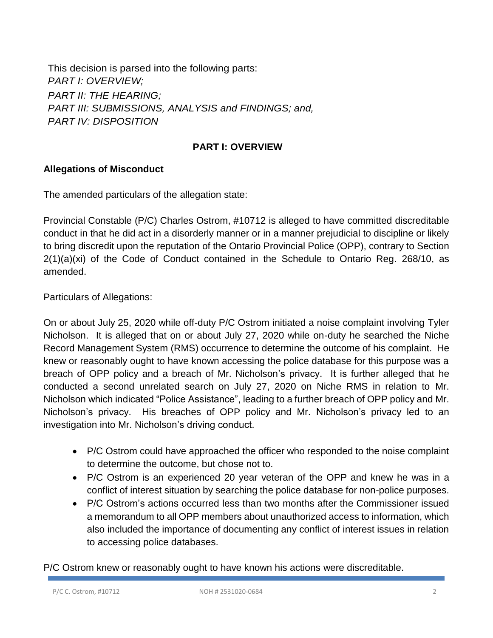This decision is parsed into the following parts: *PART I: OVERVIEW; PART II: THE HEARING; PART III: SUBMISSIONS, ANALYSIS and FINDINGS; and, PART IV: DISPOSITION* 

### **PART I: OVERVIEW**

### **Allegations of Misconduct**

The amended particulars of the allegation state:

Provincial Constable (P/C) Charles Ostrom, #10712 is alleged to have committed discreditable conduct in that he did act in a disorderly manner or in a manner prejudicial to discipline or likely to bring discredit upon the reputation of the Ontario Provincial Police (OPP), contrary to Section 2(1)(a)(xi) of the Code of Conduct contained in the Schedule to Ontario Reg. 268/10, as amended.

Particulars of Allegations:

On or about July 25, 2020 while off-duty P/C Ostrom initiated a noise complaint involving Tyler Nicholson. It is alleged that on or about July 27, 2020 while on-duty he searched the Niche Record Management System (RMS) occurrence to determine the outcome of his complaint. He knew or reasonably ought to have known accessing the police database for this purpose was a breach of OPP policy and a breach of Mr. Nicholson's privacy. It is further alleged that he conducted a second unrelated search on July 27, 2020 on Niche RMS in relation to Mr. Nicholson which indicated "Police Assistance", leading to a further breach of OPP policy and Mr. Nicholson's privacy. His breaches of OPP policy and Mr. Nicholson's privacy led to an investigation into Mr. Nicholson's driving conduct.

- P/C Ostrom could have approached the officer who responded to the noise complaint to determine the outcome, but chose not to.
- P/C Ostrom is an experienced 20 year veteran of the OPP and knew he was in a conflict of interest situation by searching the police database for non-police purposes.
- P/C Ostrom's actions occurred less than two months after the Commissioner issued a memorandum to all OPP members about unauthorized access to information, which also included the importance of documenting any conflict of interest issues in relation to accessing police databases.

P/C Ostrom knew or reasonably ought to have known his actions were discreditable.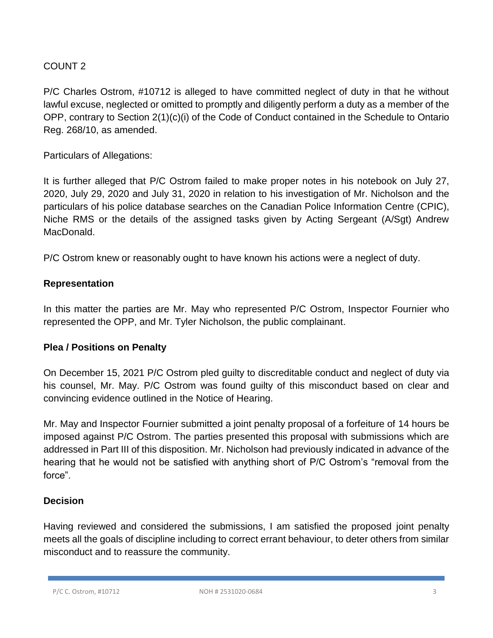# COUNT 2

P/C Charles Ostrom, #10712 is alleged to have committed neglect of duty in that he without lawful excuse, neglected or omitted to promptly and diligently perform a duty as a member of the OPP, contrary to Section 2(1)(c)(i) of the Code of Conduct contained in the Schedule to Ontario Reg. 268/10, as amended.

Particulars of Allegations:

It is further alleged that P/C Ostrom failed to make proper notes in his notebook on July 27, 2020, July 29, 2020 and July 31, 2020 in relation to his investigation of Mr. Nicholson and the particulars of his police database searches on the Canadian Police Information Centre (CPIC), Niche RMS or the details of the assigned tasks given by Acting Sergeant (A/Sgt) Andrew MacDonald.

P/C Ostrom knew or reasonably ought to have known his actions were a neglect of duty.

### **Representation**

In this matter the parties are Mr. May who represented P/C Ostrom, Inspector Fournier who represented the OPP, and Mr. Tyler Nicholson, the public complainant.

### **Plea / Positions on Penalty**

On December 15, 2021 P/C Ostrom pled guilty to discreditable conduct and neglect of duty via his counsel, Mr. May. P/C Ostrom was found guilty of this misconduct based on clear and convincing evidence outlined in the Notice of Hearing.

Mr. May and Inspector Fournier submitted a joint penalty proposal of a forfeiture of 14 hours be imposed against P/C Ostrom. The parties presented this proposal with submissions which are addressed in Part III of this disposition. Mr. Nicholson had previously indicated in advance of the hearing that he would not be satisfied with anything short of P/C Ostrom's "removal from the force".

# **Decision**

Having reviewed and considered the submissions, I am satisfied the proposed joint penalty meets all the goals of discipline including to correct errant behaviour, to deter others from similar misconduct and to reassure the community.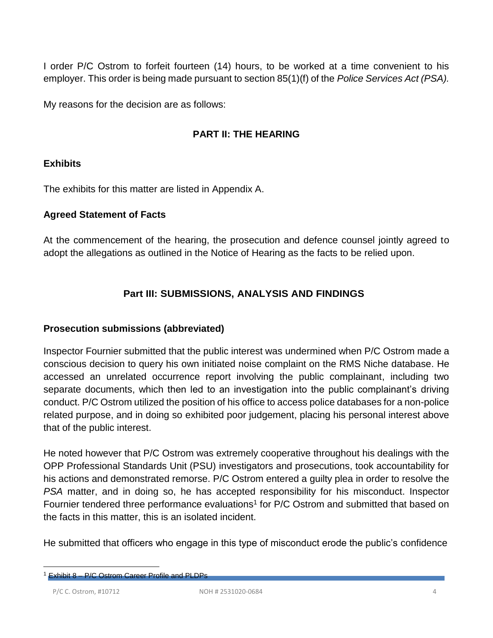I order P/C Ostrom to forfeit fourteen (14) hours, to be worked at a time convenient to his employer. This order is being made pursuant to section 85(1)(f) of the *Police Services Act (PSA).* 

My reasons for the decision are as follows:

# **PART II: THE HEARING**

### **Exhibits**

The exhibits for this matter are listed in Appendix A.

#### **Agreed Statement of Facts**

At the commencement of the hearing, the prosecution and defence counsel jointly agreed to adopt the allegations as outlined in the Notice of Hearing as the facts to be relied upon.

### **Part III: SUBMISSIONS, ANALYSIS AND FINDINGS**

### **Prosecution submissions (abbreviated)**

Inspector Fournier submitted that the public interest was undermined when P/C Ostrom made a conscious decision to query his own initiated noise complaint on the RMS Niche database. He accessed an unrelated occurrence report involving the public complainant, including two separate documents, which then led to an investigation into the public complainant's driving conduct. P/C Ostrom utilized the position of his office to access police databases for a non-police related purpose, and in doing so exhibited poor judgement, placing his personal interest above that of the public interest.

He noted however that P/C Ostrom was extremely cooperative throughout his dealings with the OPP Professional Standards Unit (PSU) investigators and prosecutions, took accountability for his actions and demonstrated remorse. P/C Ostrom entered a guilty plea in order to resolve the *PSA* matter, and in doing so, he has accepted responsibility for his misconduct. Inspector Fournier tendered three performance evaluations<sup>1</sup> for P/C Ostrom and submitted that based on the facts in this matter, this is an isolated incident.

He submitted that officers who engage in this type of misconduct erode the public's confidence

Exhibit 8 – P/C Ostrom Career Profile and PLDPs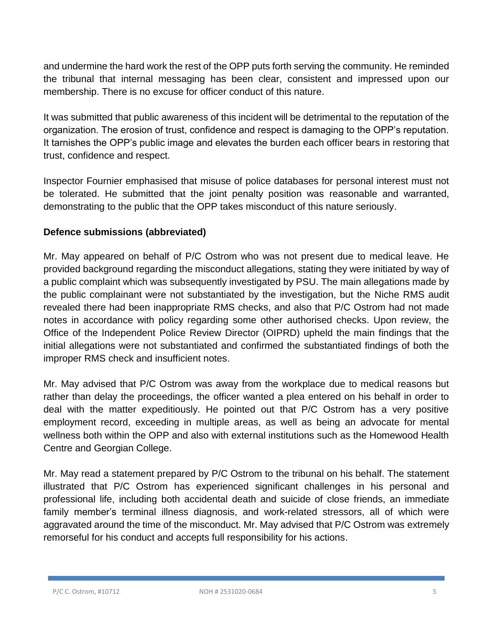and undermine the hard work the rest of the OPP puts forth serving the community. He reminded the tribunal that internal messaging has been clear, consistent and impressed upon our membership. There is no excuse for officer conduct of this nature.

It was submitted that public awareness of this incident will be detrimental to the reputation of the organization. The erosion of trust, confidence and respect is damaging to the OPP's reputation. It tarnishes the OPP's public image and elevates the burden each officer bears in restoring that trust, confidence and respect.

Inspector Fournier emphasised that misuse of police databases for personal interest must not be tolerated. He submitted that the joint penalty position was reasonable and warranted, demonstrating to the public that the OPP takes misconduct of this nature seriously.

### **Defence submissions (abbreviated)**

Mr. May appeared on behalf of P/C Ostrom who was not present due to medical leave. He provided background regarding the misconduct allegations, stating they were initiated by way of a public complaint which was subsequently investigated by PSU. The main allegations made by the public complainant were not substantiated by the investigation, but the Niche RMS audit revealed there had been inappropriate RMS checks, and also that P/C Ostrom had not made notes in accordance with policy regarding some other authorised checks. Upon review, the Office of the Independent Police Review Director (OIPRD) upheld the main findings that the initial allegations were not substantiated and confirmed the substantiated findings of both the improper RMS check and insufficient notes.

Mr. May advised that P/C Ostrom was away from the workplace due to medical reasons but rather than delay the proceedings, the officer wanted a plea entered on his behalf in order to deal with the matter expeditiously. He pointed out that P/C Ostrom has a very positive employment record, exceeding in multiple areas, as well as being an advocate for mental wellness both within the OPP and also with external institutions such as the Homewood Health Centre and Georgian College.

Mr. May read a statement prepared by P/C Ostrom to the tribunal on his behalf. The statement illustrated that P/C Ostrom has experienced significant challenges in his personal and professional life, including both accidental death and suicide of close friends, an immediate family member's terminal illness diagnosis, and work-related stressors, all of which were aggravated around the time of the misconduct. Mr. May advised that P/C Ostrom was extremely remorseful for his conduct and accepts full responsibility for his actions.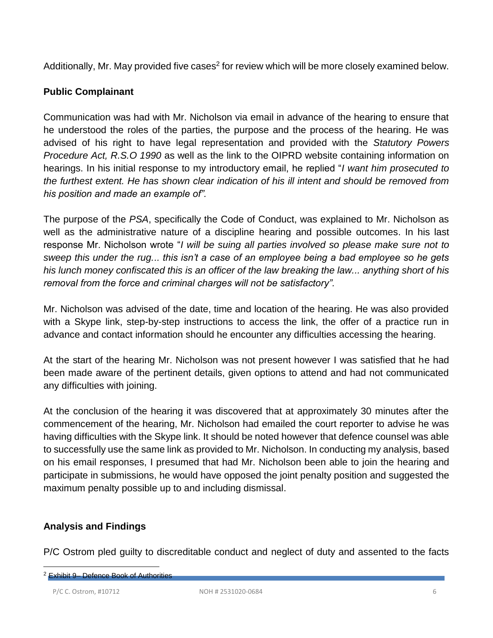Additionally, Mr. May provided five cases<sup>2</sup> for review which will be more closely examined below.

### **Public Complainant**

Communication was had with Mr. Nicholson via email in advance of the hearing to ensure that he understood the roles of the parties, the purpose and the process of the hearing. He was advised of his right to have legal representation and provided with the *Statutory Powers Procedure Act, R.S.O 1990* as well as the link to the OIPRD website containing information on hearings. In his initial response to my introductory email, he replied "*I want him prosecuted to the furthest extent. He has shown clear indication of his ill intent and should be removed from his position and made an example of".*

The purpose of the *PSA*, specifically the Code of Conduct, was explained to Mr. Nicholson as well as the administrative nature of a discipline hearing and possible outcomes. In his last response Mr. Nicholson wrote "*I will be suing all parties involved so please make sure not to sweep this under the rug... this isn't a case of an employee being a bad employee so he gets his lunch money confiscated this is an officer of the law breaking the law... anything short of his removal from the force and criminal charges will not be satisfactory".*

Mr. Nicholson was advised of the date, time and location of the hearing. He was also provided with a Skype link, step-by-step instructions to access the link, the offer of a practice run in advance and contact information should he encounter any difficulties accessing the hearing.

At the start of the hearing Mr. Nicholson was not present however I was satisfied that he had been made aware of the pertinent details, given options to attend and had not communicated any difficulties with joining.

At the conclusion of the hearing it was discovered that at approximately 30 minutes after the commencement of the hearing, Mr. Nicholson had emailed the court reporter to advise he was having difficulties with the Skype link. It should be noted however that defence counsel was able to successfully use the same link as provided to Mr. Nicholson. In conducting my analysis, based on his email responses, I presumed that had Mr. Nicholson been able to join the hearing and participate in submissions, he would have opposed the joint penalty position and suggested the maximum penalty possible up to and including dismissal.

# **Analysis and Findings**

P/C Ostrom pled guilty to discreditable conduct and neglect of duty and assented to the facts

P/C C. Ostrom, #10712 NOH # 2531020-0684 6

<sup>2</sup> Exhibit 9– Defence Book of Authorities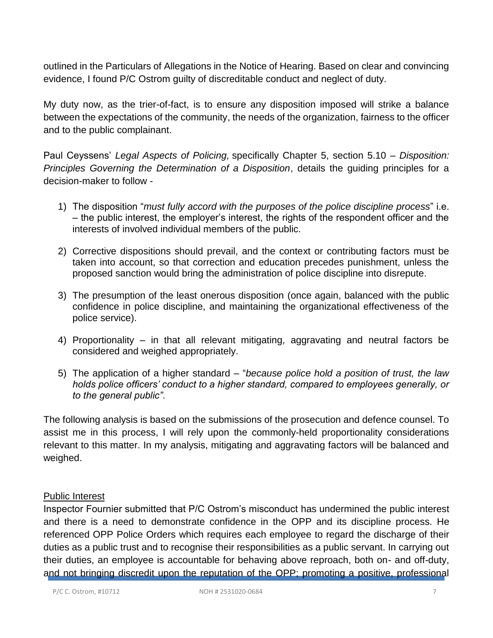outlined in the Particulars of Allegations in the Notice of Hearing. Based on clear and convincing evidence, I found P/C Ostrom guilty of discreditable conduct and neglect of duty.

My duty now, as the trier-of-fact, is to ensure any disposition imposed will strike a balance between the expectations of the community, the needs of the organization, fairness to the officer and to the public complainant.

Paul Ceyssens' *Legal Aspects of Policing,* specifically Chapter 5, section 5.10 – *Disposition: Principles Governing the Determination of a Disposition*, details the guiding principles for a decision-maker to follow -

- 1) The disposition "*must fully accord with the purposes of the police discipline process*" i.e. – the public interest, the employer's interest, the rights of the respondent officer and the interests of involved individual members of the public.
- 2) Corrective dispositions should prevail, and the context or contributing factors must be taken into account, so that correction and education precedes punishment, unless the proposed sanction would bring the administration of police discipline into disrepute.
- 3) The presumption of the least onerous disposition (once again, balanced with the public confidence in police discipline, and maintaining the organizational effectiveness of the police service).
- 4) Proportionality in that all relevant mitigating, aggravating and neutral factors be considered and weighed appropriately.
- 5) The application of a higher standard "*because police hold a position of trust, the law holds police officers' conduct to a higher standard, compared to employees generally, or to the general public"*.

The following analysis is based on the submissions of the prosecution and defence counsel. To assist me in this process, I will rely upon the commonly-held proportionality considerations relevant to this matter. In my analysis, mitigating and aggravating factors will be balanced and weighed.

### Public Interest

Inspector Fournier submitted that P/C Ostrom's misconduct has undermined the public interest and there is a need to demonstrate confidence in the OPP and its discipline process. He referenced OPP Police Orders which requires each employee to regard the discharge of their duties as a public trust and to recognise their responsibilities as a public servant. In carrying out their duties, an employee is accountable for behaving above reproach, both on- and off-duty, and not bringing discredit upon the reputation of the OPP; promoting a positive, professional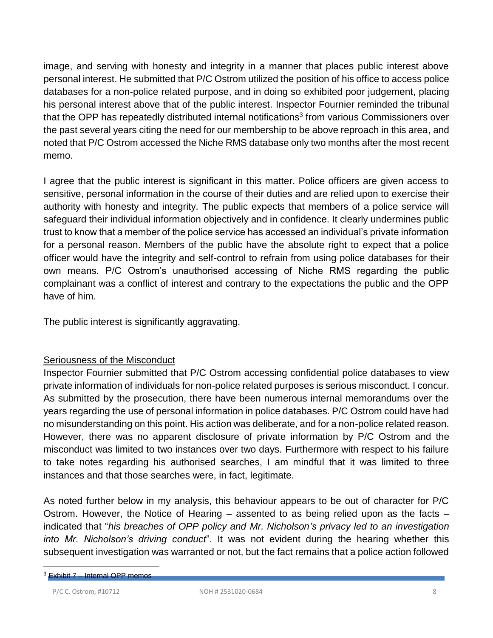image, and serving with honesty and integrity in a manner that places public interest above personal interest. He submitted that P/C Ostrom utilized the position of his office to access police databases for a non-police related purpose, and in doing so exhibited poor judgement, placing his personal interest above that of the public interest. Inspector Fournier reminded the tribunal that the OPP has repeatedly distributed internal notifications<sup>3</sup> from various Commissioners over the past several years citing the need for our membership to be above reproach in this area, and noted that P/C Ostrom accessed the Niche RMS database only two months after the most recent memo.

I agree that the public interest is significant in this matter. Police officers are given access to sensitive, personal information in the course of their duties and are relied upon to exercise their authority with honesty and integrity. The public expects that members of a police service will safeguard their individual information objectively and in confidence. It clearly undermines public trust to know that a member of the police service has accessed an individual's private information for a personal reason. Members of the public have the absolute right to expect that a police officer would have the integrity and self-control to refrain from using police databases for their own means. P/C Ostrom's unauthorised accessing of Niche RMS regarding the public complainant was a conflict of interest and contrary to the expectations the public and the OPP have of him.

The public interest is significantly aggravating.

# Seriousness of the Misconduct

Inspector Fournier submitted that P/C Ostrom accessing confidential police databases to view private information of individuals for non-police related purposes is serious misconduct. I concur. As submitted by the prosecution, there have been numerous internal memorandums over the years regarding the use of personal information in police databases. P/C Ostrom could have had no misunderstanding on this point. His action was deliberate, and for a non-police related reason. However, there was no apparent disclosure of private information by P/C Ostrom and the misconduct was limited to two instances over two days. Furthermore with respect to his failure to take notes regarding his authorised searches, I am mindful that it was limited to three instances and that those searches were, in fact, legitimate.

As noted further below in my analysis, this behaviour appears to be out of character for P/C Ostrom. However, the Notice of Hearing – assented to as being relied upon as the facts – indicated that "*his breaches of OPP policy and Mr. Nicholson's privacy led to an investigation into Mr. Nicholson's driving conduct*". It was not evident during the hearing whether this subsequent investigation was warranted or not, but the fact remains that a police action followed

<sup>3</sup> Exhibit 7 – Internal OPP memos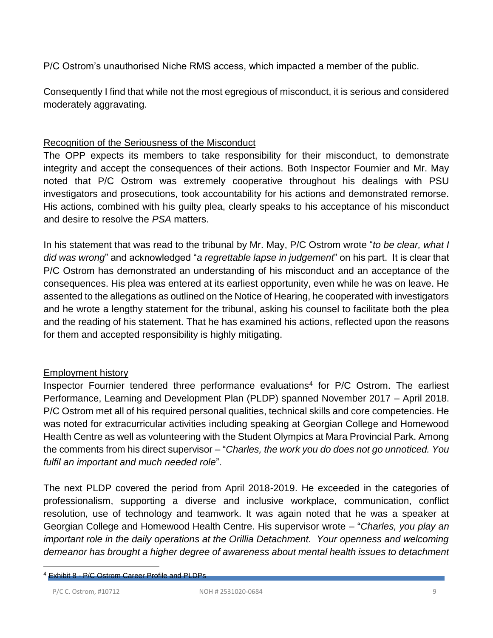P/C Ostrom's unauthorised Niche RMS access, which impacted a member of the public.

Consequently I find that while not the most egregious of misconduct, it is serious and considered moderately aggravating.

### Recognition of the Seriousness of the Misconduct

The OPP expects its members to take responsibility for their misconduct, to demonstrate integrity and accept the consequences of their actions. Both Inspector Fournier and Mr. May noted that P/C Ostrom was extremely cooperative throughout his dealings with PSU investigators and prosecutions, took accountability for his actions and demonstrated remorse. His actions, combined with his guilty plea, clearly speaks to his acceptance of his misconduct and desire to resolve the *PSA* matters.

In his statement that was read to the tribunal by Mr. May, P/C Ostrom wrote "*to be clear, what I did was wrong*" and acknowledged "*a regrettable lapse in judgement*" on his part. It is clear that P/C Ostrom has demonstrated an understanding of his misconduct and an acceptance of the consequences. His plea was entered at its earliest opportunity, even while he was on leave. He assented to the allegations as outlined on the Notice of Hearing, he cooperated with investigators and he wrote a lengthy statement for the tribunal, asking his counsel to facilitate both the plea and the reading of his statement. That he has examined his actions, reflected upon the reasons for them and accepted responsibility is highly mitigating.

### Employment history

Inspector Fournier tendered three performance evaluations<sup>4</sup> for P/C Ostrom. The earliest Performance, Learning and Development Plan (PLDP) spanned November 2017 – April 2018. P/C Ostrom met all of his required personal qualities, technical skills and core competencies. He was noted for extracurricular activities including speaking at Georgian College and Homewood Health Centre as well as volunteering with the Student Olympics at Mara Provincial Park. Among the comments from his direct supervisor – "*Charles, the work you do does not go unnoticed. You fulfil an important and much needed role*".

The next PLDP covered the period from April 2018-2019. He exceeded in the categories of professionalism, supporting a diverse and inclusive workplace, communication, conflict resolution, use of technology and teamwork. It was again noted that he was a speaker at Georgian College and Homewood Health Centre. His supervisor wrote – "*Charles, you play an important role in the daily operations at the Orillia Detachment. Your openness and welcoming demeanor has brought a higher degree of awareness about mental health issues to detachment* 

<sup>4</sup> Exhibit 8 - P/C Ostrom Career Profile and PLDPs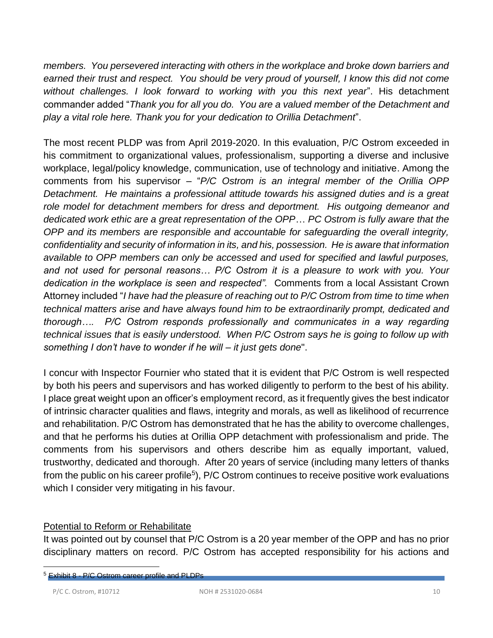*members. You persevered interacting with others in the workplace and broke down barriers and earned their trust and respect. You should be very proud of yourself, I know this did not come without challenges. I look forward to working with you this next year*". His detachment commander added "*Thank you for all you do. You are a valued member of the Detachment and play a vital role here. Thank you for your dedication to Orillia Detachment*".

The most recent PLDP was from April 2019-2020. In this evaluation, P/C Ostrom exceeded in his commitment to organizational values, professionalism, supporting a diverse and inclusive workplace, legal/policy knowledge, communication, use of technology and initiative. Among the comments from his supervisor – "*P/C Ostrom is an integral member of the Orillia OPP Detachment. He maintains a professional attitude towards his assigned duties and is a great role model for detachment members for dress and deportment. His outgoing demeanor and dedicated work ethic are a great representation of the OPP*… *PC Ostrom is fully aware that the OPP and its members are responsible and accountable for safeguarding the overall integrity, confidentiality and security of information in its, and his, possession. He is aware that information available to OPP members can only be accessed and used for specified and lawful purposes, and not used for personal reasons… P/C Ostrom it is a pleasure to work with you. Your dedication in the workplace is seen and respected".* Comments from a local Assistant Crown Attorney included "*I have had the pleasure of reaching out to P/C Ostrom from time to time when technical matters arise and have always found him to be extraordinarily prompt, dedicated and thorough…. P/C Ostrom responds professionally and communicates in a way regarding technical issues that is easily understood. When P/C Ostrom says he is going to follow up with something I don't have to wonder if he will – it just gets done*".

I concur with Inspector Fournier who stated that it is evident that P/C Ostrom is well respected by both his peers and supervisors and has worked diligently to perform to the best of his ability. I place great weight upon an officer's employment record, as it frequently gives the best indicator of intrinsic character qualities and flaws, integrity and morals, as well as likelihood of recurrence and rehabilitation. P/C Ostrom has demonstrated that he has the ability to overcome challenges, and that he performs his duties at Orillia OPP detachment with professionalism and pride. The comments from his supervisors and others describe him as equally important, valued, trustworthy, dedicated and thorough. After 20 years of service (including many letters of thanks from the public on his career profile<sup>5</sup>), P/C Ostrom continues to receive positive work evaluations which I consider very mitigating in his favour.

### Potential to Reform or Rehabilitate

It was pointed out by counsel that P/C Ostrom is a 20 year member of the OPP and has no prior disciplinary matters on record. P/C Ostrom has accepted responsibility for his actions and

<sup>5</sup> Exhibit 8 - P/C Ostrom career profile and PLDPs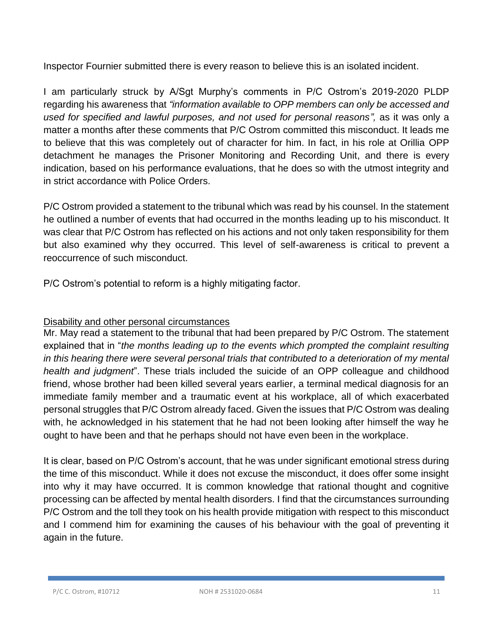Inspector Fournier submitted there is every reason to believe this is an isolated incident.

I am particularly struck by A/Sgt Murphy's comments in P/C Ostrom's 2019-2020 PLDP regarding his awareness that *"information available to OPP members can only be accessed and*  used for specified and lawful purposes, and not used for personal reasons", as it was only a matter a months after these comments that P/C Ostrom committed this misconduct. It leads me to believe that this was completely out of character for him. In fact, in his role at Orillia OPP detachment he manages the Prisoner Monitoring and Recording Unit, and there is every indication, based on his performance evaluations, that he does so with the utmost integrity and in strict accordance with Police Orders.

P/C Ostrom provided a statement to the tribunal which was read by his counsel. In the statement he outlined a number of events that had occurred in the months leading up to his misconduct. It was clear that P/C Ostrom has reflected on his actions and not only taken responsibility for them but also examined why they occurred. This level of self-awareness is critical to prevent a reoccurrence of such misconduct.

P/C Ostrom's potential to reform is a highly mitigating factor.

# Disability and other personal circumstances

Mr. May read a statement to the tribunal that had been prepared by P/C Ostrom. The statement explained that in "*the months leading up to the events which prompted the complaint resulting in this hearing there were several personal trials that contributed to a deterioration of my mental health and judgment*". These trials included the suicide of an OPP colleague and childhood friend, whose brother had been killed several years earlier, a terminal medical diagnosis for an immediate family member and a traumatic event at his workplace, all of which exacerbated personal struggles that P/C Ostrom already faced. Given the issues that P/C Ostrom was dealing with, he acknowledged in his statement that he had not been looking after himself the way he ought to have been and that he perhaps should not have even been in the workplace.

It is clear, based on P/C Ostrom's account, that he was under significant emotional stress during the time of this misconduct. While it does not excuse the misconduct, it does offer some insight into why it may have occurred. It is common knowledge that rational thought and cognitive processing can be affected by mental health disorders. I find that the circumstances surrounding P/C Ostrom and the toll they took on his health provide mitigation with respect to this misconduct and I commend him for examining the causes of his behaviour with the goal of preventing it again in the future.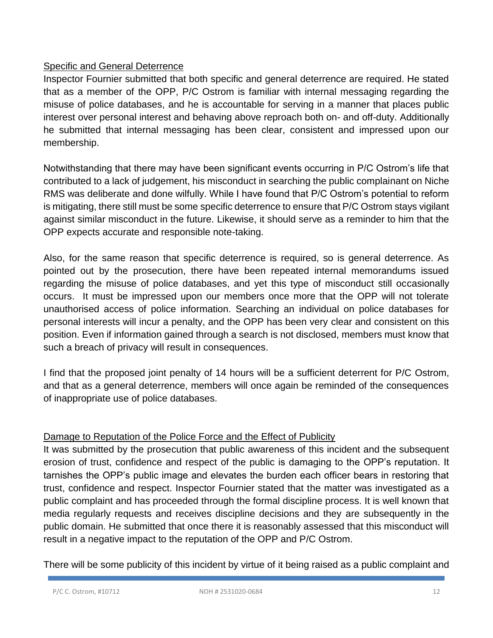### Specific and General Deterrence

Inspector Fournier submitted that both specific and general deterrence are required. He stated that as a member of the OPP, P/C Ostrom is familiar with internal messaging regarding the misuse of police databases, and he is accountable for serving in a manner that places public interest over personal interest and behaving above reproach both on- and off-duty. Additionally he submitted that internal messaging has been clear, consistent and impressed upon our membership.

Notwithstanding that there may have been significant events occurring in P/C Ostrom's life that contributed to a lack of judgement, his misconduct in searching the public complainant on Niche RMS was deliberate and done wilfully. While I have found that P/C Ostrom's potential to reform is mitigating, there still must be some specific deterrence to ensure that P/C Ostrom stays vigilant against similar misconduct in the future. Likewise, it should serve as a reminder to him that the OPP expects accurate and responsible note-taking.

Also, for the same reason that specific deterrence is required, so is general deterrence. As pointed out by the prosecution, there have been repeated internal memorandums issued regarding the misuse of police databases, and yet this type of misconduct still occasionally occurs. It must be impressed upon our members once more that the OPP will not tolerate unauthorised access of police information. Searching an individual on police databases for personal interests will incur a penalty, and the OPP has been very clear and consistent on this position. Even if information gained through a search is not disclosed, members must know that such a breach of privacy will result in consequences.

I find that the proposed joint penalty of 14 hours will be a sufficient deterrent for P/C Ostrom, and that as a general deterrence, members will once again be reminded of the consequences of inappropriate use of police databases.

# Damage to Reputation of the Police Force and the Effect of Publicity

It was submitted by the prosecution that public awareness of this incident and the subsequent erosion of trust, confidence and respect of the public is damaging to the OPP's reputation. It tarnishes the OPP's public image and elevates the burden each officer bears in restoring that trust, confidence and respect. Inspector Fournier stated that the matter was investigated as a public complaint and has proceeded through the formal discipline process. It is well known that media regularly requests and receives discipline decisions and they are subsequently in the public domain. He submitted that once there it is reasonably assessed that this misconduct will result in a negative impact to the reputation of the OPP and P/C Ostrom.

There will be some publicity of this incident by virtue of it being raised as a public complaint and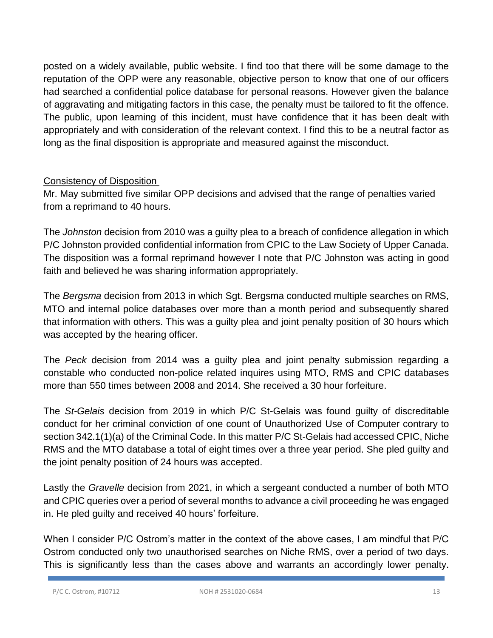posted on a widely available, public website. I find too that there will be some damage to the reputation of the OPP were any reasonable, objective person to know that one of our officers had searched a confidential police database for personal reasons. However given the balance of aggravating and mitigating factors in this case, the penalty must be tailored to fit the offence. The public, upon learning of this incident, must have confidence that it has been dealt with appropriately and with consideration of the relevant context. I find this to be a neutral factor as long as the final disposition is appropriate and measured against the misconduct.

### Consistency of Disposition

Mr. May submitted five similar OPP decisions and advised that the range of penalties varied from a reprimand to 40 hours.

The *Johnston* decision from 2010 was a guilty plea to a breach of confidence allegation in which P/C Johnston provided confidential information from CPIC to the Law Society of Upper Canada. The disposition was a formal reprimand however I note that P/C Johnston was acting in good faith and believed he was sharing information appropriately.

The *Bergsma* decision from 2013 in which Sgt. Bergsma conducted multiple searches on RMS, MTO and internal police databases over more than a month period and subsequently shared that information with others. This was a guilty plea and joint penalty position of 30 hours which was accepted by the hearing officer.

The *Peck* decision from 2014 was a guilty plea and joint penalty submission regarding a constable who conducted non-police related inquires using MTO, RMS and CPIC databases more than 550 times between 2008 and 2014. She received a 30 hour forfeiture.

The *St-Gelais* decision from 2019 in which P/C St-Gelais was found guilty of discreditable conduct for her criminal conviction of one count of Unauthorized Use of Computer contrary to section 342.1(1)(a) of the Criminal Code. In this matter P/C St-Gelais had accessed CPIC, Niche RMS and the MTO database a total of eight times over a three year period. She pled guilty and the joint penalty position of 24 hours was accepted.

Lastly the *Gravelle* decision from 2021, in which a sergeant conducted a number of both MTO and CPIC queries over a period of several months to advance a civil proceeding he was engaged in. He pled guilty and received 40 hours' forfeiture.

When I consider P/C Ostrom's matter in the context of the above cases, I am mindful that P/C Ostrom conducted only two unauthorised searches on Niche RMS, over a period of two days. This is significantly less than the cases above and warrants an accordingly lower penalty.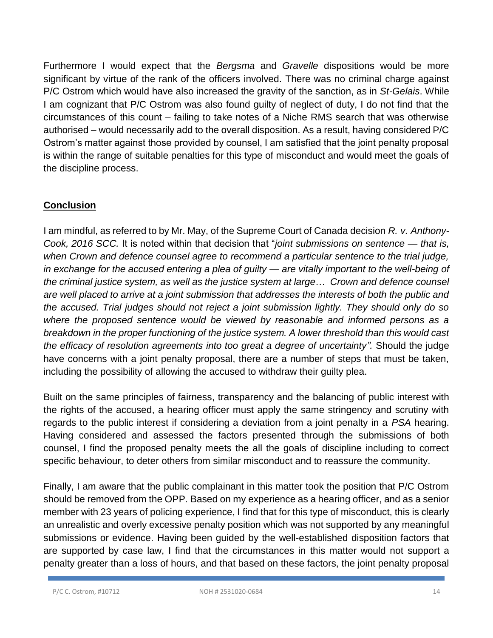Furthermore I would expect that the *Bergsma* and *Gravelle* dispositions would be more significant by virtue of the rank of the officers involved. There was no criminal charge against P/C Ostrom which would have also increased the gravity of the sanction, as in *St-Gelais*. While I am cognizant that P/C Ostrom was also found guilty of neglect of duty, I do not find that the circumstances of this count – failing to take notes of a Niche RMS search that was otherwise authorised – would necessarily add to the overall disposition. As a result, having considered P/C Ostrom's matter against those provided by counsel, I am satisfied that the joint penalty proposal is within the range of suitable penalties for this type of misconduct and would meet the goals of the discipline process.

# **Conclusion**

I am mindful, as referred to by Mr. May, of the Supreme Court of Canada decision *R. v. Anthony-Cook, 2016 SCC.* It is noted within that decision that "*joint submissions on sentence — that is, when Crown and defence counsel agree to recommend a particular sentence to the trial judge, in exchange for the accused entering a plea of guilty — are vitally important to the well-being of the criminal justice system, as well as the justice system at large*… *Crown and defence counsel are well placed to arrive at a joint submission that addresses the interests of both the public and the accused. Trial judges should not reject a joint submission lightly. They should only do so where the proposed sentence would be viewed by reasonable and informed persons as a breakdown in the proper functioning of the justice system. A lower threshold than this would cast the efficacy of resolution agreements into too great a degree of uncertainty".* Should the judge have concerns with a joint penalty proposal, there are a number of steps that must be taken, including the possibility of allowing the accused to withdraw their guilty plea.

Built on the same principles of fairness, transparency and the balancing of public interest with the rights of the accused, a hearing officer must apply the same stringency and scrutiny with regards to the public interest if considering a deviation from a joint penalty in a *PSA* hearing. Having considered and assessed the factors presented through the submissions of both counsel, I find the proposed penalty meets the all the goals of discipline including to correct specific behaviour, to deter others from similar misconduct and to reassure the community.

Finally, I am aware that the public complainant in this matter took the position that P/C Ostrom should be removed from the OPP. Based on my experience as a hearing officer, and as a senior member with 23 years of policing experience, I find that for this type of misconduct, this is clearly an unrealistic and overly excessive penalty position which was not supported by any meaningful submissions or evidence. Having been guided by the well-established disposition factors that are supported by case law, I find that the circumstances in this matter would not support a penalty greater than a loss of hours, and that based on these factors, the joint penalty proposal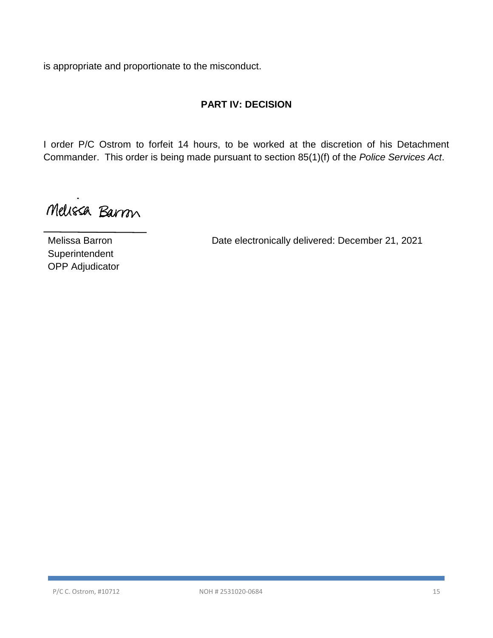is appropriate and proportionate to the misconduct.

# **PART IV: DECISION**

I order P/C Ostrom to forfeit 14 hours, to be worked at the discretion of his Detachment Commander. This order is being made pursuant to section 85(1)(f) of the *Police Services Act*.

Melissa Barron

Melissa Barron **Date electronically delivered: December 21, 2021** 

**Superintendent** OPP Adjudicator